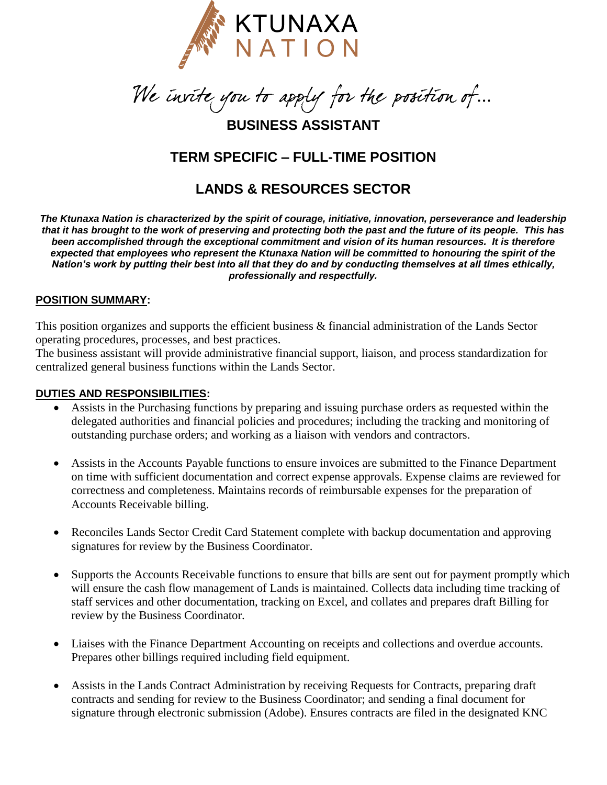

 $\overline{a}$ 

### **BUSINESS ASSISTANT**

## **TERM SPECIFIC – FULL-TIME POSITION**

# **LANDS & RESOURCES SECTOR**

*The Ktunaxa Nation is characterized by the spirit of courage, initiative, innovation, perseverance and leadership that it has brought to the work of preserving and protecting both the past and the future of its people. This has been accomplished through the exceptional commitment and vision of its human resources. It is therefore expected that employees who represent the Ktunaxa Nation will be committed to honouring the spirit of the Nation's work by putting their best into all that they do and by conducting themselves at all times ethically, professionally and respectfully.*

#### **POSITION SUMMARY:**

This position organizes and supports the efficient business & financial administration of the Lands Sector operating procedures, processes, and best practices.

The business assistant will provide administrative financial support, liaison, and process standardization for centralized general business functions within the Lands Sector.

#### **DUTIES AND RESPONSIBILITIES:**

- Assists in the Purchasing functions by preparing and issuing purchase orders as requested within the delegated authorities and financial policies and procedures; including the tracking and monitoring of outstanding purchase orders; and working as a liaison with vendors and contractors.
- Assists in the Accounts Payable functions to ensure invoices are submitted to the Finance Department on time with sufficient documentation and correct expense approvals. Expense claims are reviewed for correctness and completeness. Maintains records of reimbursable expenses for the preparation of Accounts Receivable billing.
- Reconciles Lands Sector Credit Card Statement complete with backup documentation and approving signatures for review by the Business Coordinator.
- Supports the Accounts Receivable functions to ensure that bills are sent out for payment promptly which will ensure the cash flow management of Lands is maintained. Collects data including time tracking of staff services and other documentation, tracking on Excel, and collates and prepares draft Billing for review by the Business Coordinator.
- Liaises with the Finance Department Accounting on receipts and collections and overdue accounts. Prepares other billings required including field equipment.
- Assists in the Lands Contract Administration by receiving Requests for Contracts, preparing draft contracts and sending for review to the Business Coordinator; and sending a final document for signature through electronic submission (Adobe). Ensures contracts are filed in the designated KNC